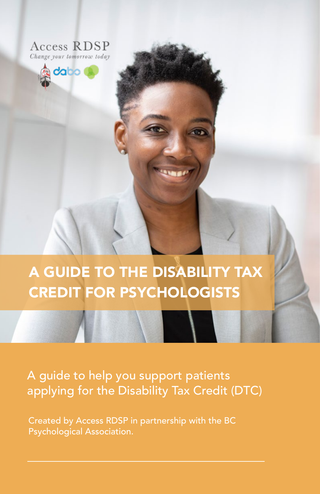



A GUIDE TO THE DISABILITY TAX CREDIT FOR PSYCHOLOGISTS

## A guide to help you support patients applying for the Disability Tax Credit (DTC)

Created by Access RDSP in partnership with the BC Psychological Association.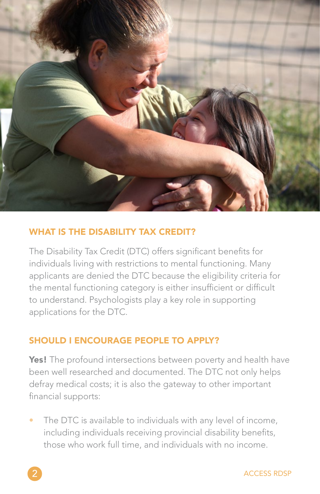

## WHAT IS THE DISABILITY TAX CREDIT?

The Disability Tax Credit (DTC) offers significant benefits for individuals living with restrictions to mental functioning. Many applicants are denied the DTC because the eligibility criteria for the mental functioning category is either insufficient or difficult to understand. Psychologists play a key role in supporting applications for the DTC.

## SHOULD I ENCOURAGE PEOPLE TO APPLY?

Yes! The profound intersections between poverty and health have been well researched and documented. The DTC not only helps defray medical costs; it is also the gateway to other important financial supports:

The DTC is available to individuals with any level of income, including individuals receiving provincial disability benefits, those who work full time, and individuals with no income.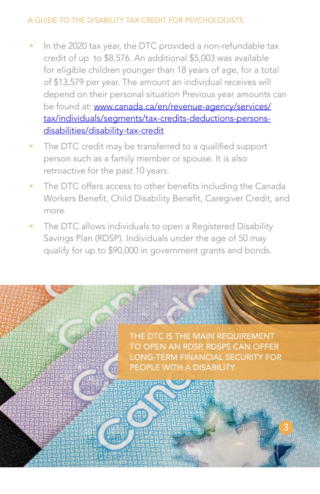- In the 2020 tax year, the DTC provided a non-refundable tax credit of up to \$8,576. An additional \$5,003 was available for eligible children younger than 18 years of age, for a total of \$13,579 per year. The amount an individual receives will depend on their personal situation Previous year amounts can be found at: [www.canada.ca/en/revenue-agency/services/](http://www.canada.ca/en/revenue-agency/services/tax/individuals/segments/tax-credits-deductions-persons-dis) [tax/individuals/segments/tax-credits-deductions-persons](http://www.canada.ca/en/revenue-agency/services/tax/individuals/segments/tax-credits-deductions-persons-dis)[disabilities/disability-tax-credit](http://www.canada.ca/en/revenue-agency/services/tax/individuals/segments/tax-credits-deductions-persons-dis)
- The DTC credit may be transferred to a qualified support person such as a family member or spouse. It is also retroactive for the past 10 years.
- The DTC offers access to other benefits including the Canada Workers Benefit, Child Disability Benefit, Caregiver Credit, and more.
- The DTC allows individuals to open a Registered Disability Savings Plan (RDSP). Individuals under the age of 50 may qualify for up to \$90,000 in government grants and bonds.

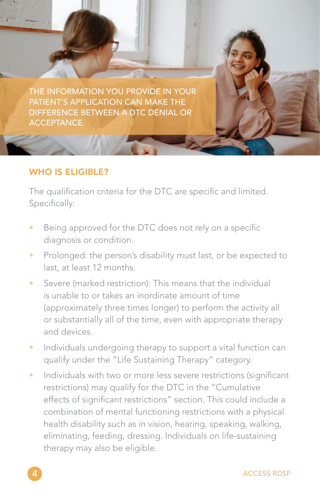THE INFORMATION YOU PROVIDE IN YOUR PATIENT'S APPLICATION CAN MAKE THE DIFFERENCE BETWEEN A DTC DENIAL OR ACCEPTANCE.

#### WHO IS ELIGIBLE?

The qualification criteria for the DTC are specific and limited. Specifically:

- Being approved for the DTC does not rely on a specific diagnosis or condition.
- Prolonged: the person's disability must last, or be expected to last, at least 12 months.
- Severe (marked restriction): This means that the individual is unable to or takes an inordinate amount of time (approximately three times longer) to perform the activity all or substantially all of the time, even with appropriate therapy and devices.
- Individuals undergoing therapy to support a vital function can qualify under the "Life Sustaining Therapy" category.
- Individuals with two or more less severe restrictions (significant restrictions) may qualify for the DTC in the "Cumulative effects of significant restrictions" section. This could include a combination of mental functioning restrictions with a physical health disability such as in vision, hearing, speaking, walking, eliminating, feeding, dressing. Individuals on life-sustaining therapy may also be eligible.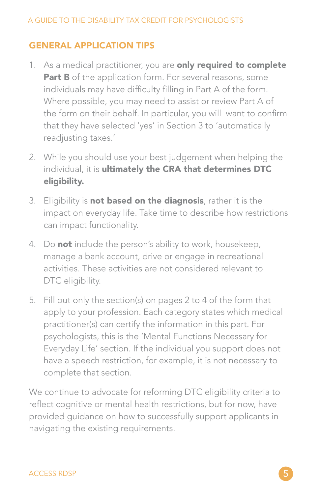## GENERAL APPLICATION TIPS

- 1. As a medical practitioner, you are only required to complete Part B of the application form. For several reasons, some individuals may have difficulty filling in Part A of the form. Where possible, you may need to assist or review Part A of the form on their behalf. In particular, you will want to confirm that they have selected 'yes' in Section 3 to 'automatically readjusting taxes.'
- 2. While you should use your best judgement when helping the individual, it is ultimately the CRA that determines DTC eligibility.
- 3. Eligibility is **not based on the diagnosis**, rather it is the impact on everyday life. Take time to describe how restrictions can impact functionality.
- 4. Do not include the person's ability to work, housekeep, manage a bank account, drive or engage in recreational activities. These activities are not considered relevant to DTC eligibility.
- 5. Fill out only the section(s) on pages 2 to 4 of the form that apply to your profession. Each category states which medical practitioner(s) can certify the information in this part. For psychologists, this is the 'Mental Functions Necessary for Everyday Life' section. If the individual you support does not have a speech restriction, for example, it is not necessary to complete that section.

We continue to advocate for reforming DTC eligibility criteria to reflect cognitive or mental health restrictions, but for now, have provided guidance on how to successfully support applicants in navigating the existing requirements.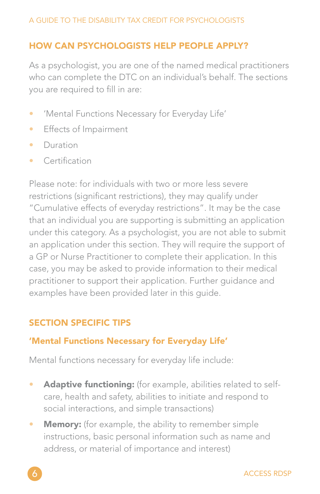## HOW CAN PSYCHOLOGISTS HELP PEOPLE APPLY?

As a psychologist, you are one of the named medical practitioners who can complete the DTC on an individual's behalf. The sections you are required to fill in are:

- 'Mental Functions Necessary for Everyday Life'
- Effects of Impairment
- Duration
- Certification

Please note: for individuals with two or more less severe restrictions (significant restrictions), they may qualify under "Cumulative effects of everyday restrictions". It may be the case that an individual you are supporting is submitting an application under this category. As a psychologist, you are not able to submit an application under this section. They will require the support of a GP or Nurse Practitioner to complete their application. In this case, you may be asked to provide information to their medical practitioner to support their application. Further guidance and examples have been provided later in this guide.

## SECTION SPECIFIC TIPS

## 'Mental Functions Necessary for Everyday Life'

Mental functions necessary for everyday life include:

- Adaptive functioning: (for example, abilities related to selfcare, health and safety, abilities to initiate and respond to social interactions, and simple transactions)
- Memory: (for example, the ability to remember simple instructions, basic personal information such as name and address, or material of importance and interest)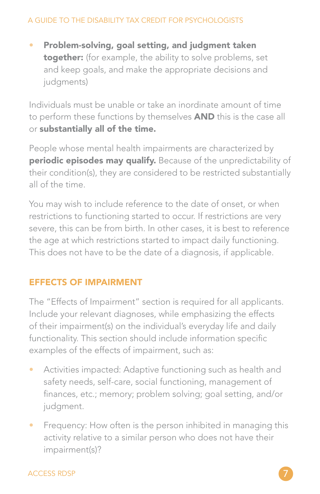• Problem-solving, goal setting, and judgment taken together: (for example, the ability to solve problems, set and keep goals, and make the appropriate decisions and judgments)

Individuals must be unable or take an inordinate amount of time to perform these functions by themselves **AND** this is the case all or substantially all of the time.

People whose mental health impairments are characterized by periodic episodes may qualify. Because of the unpredictability of their condition(s), they are considered to be restricted substantially all of the time.

You may wish to include reference to the date of onset, or when restrictions to functioning started to occur. If restrictions are very severe, this can be from birth. In other cases, it is best to reference the age at which restrictions started to impact daily functioning. This does not have to be the date of a diagnosis, if applicable.

## EFFECTS OF IMPAIRMENT

The "Effects of Impairment" section is required for all applicants. Include your relevant diagnoses, while emphasizing the effects of their impairment(s) on the individual's everyday life and daily functionality. This section should include information specific examples of the effects of impairment, such as:

- Activities impacted: Adaptive functioning such as health and safety needs, self-care, social functioning, management of finances, etc.; memory; problem solving; goal setting, and/or judgment.
- Frequency: How often is the person inhibited in managing this activity relative to a similar person who does not have their impairment(s)?

#### **ACCESS RDSP**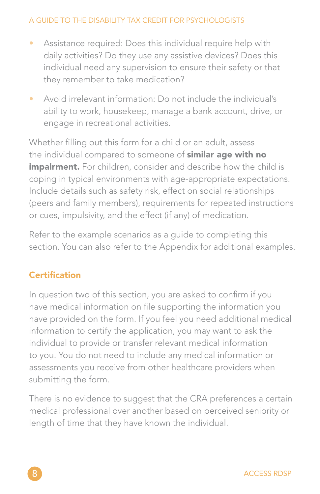- Assistance required: Does this individual require help with daily activities? Do they use any assistive devices? Does this individual need any supervision to ensure their safety or that they remember to take medication?
- Avoid irrelevant information: Do not include the individual's ability to work, housekeep, manage a bank account, drive, or engage in recreational activities.

Whether filling out this form for a child or an adult, assess the individual compared to someone of similar age with no impairment. For children, consider and describe how the child is coping in typical environments with age-appropriate expectations. Include details such as safety risk, effect on social relationships (peers and family members), requirements for repeated instructions or cues, impulsivity, and the effect (if any) of medication.

Refer to the example scenarios as a guide to completing this section. You can also refer to the Appendix for additional examples.

## **Certification**

In question two of this section, you are asked to confirm if you have medical information on file supporting the information you have provided on the form. If you feel you need additional medical information to certify the application, you may want to ask the individual to provide or transfer relevant medical information to you. You do not need to include any medical information or assessments you receive from other healthcare providers when submitting the form.

There is no evidence to suggest that the CRA preferences a certain medical professional over another based on perceived seniority or length of time that they have known the individual.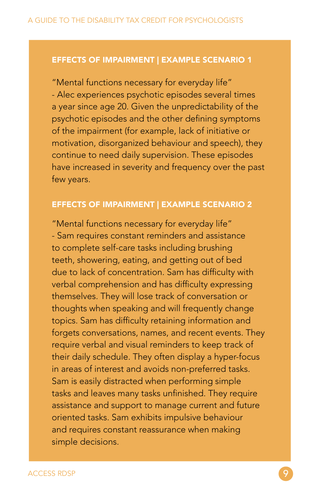#### EFFECTS OF IMPAIRMENT | EXAMPLE SCENARIO 1

"Mental functions necessary for everyday life" - Alec experiences psychotic episodes several times a year since age 20. Given the unpredictability of the psychotic episodes and the other defining symptoms of the impairment (for example, lack of initiative or motivation, disorganized behaviour and speech), they continue to need daily supervision. These episodes have increased in severity and frequency over the past few years.

#### EFFECTS OF IMPAIRMENT | EXAMPLE SCENARIO 2

"Mental functions necessary for everyday life" - Sam requires constant reminders and assistance to complete self-care tasks including brushing teeth, showering, eating, and getting out of bed due to lack of concentration. Sam has difficulty with verbal comprehension and has difficulty expressing themselves. They will lose track of conversation or thoughts when speaking and will frequently change topics. Sam has difficulty retaining information and forgets conversations, names, and recent events. They require verbal and visual reminders to keep track of their daily schedule. They often display a hyper-focus in areas of interest and avoids non-preferred tasks. Sam is easily distracted when performing simple tasks and leaves many tasks unfinished. They require assistance and support to manage current and future oriented tasks. Sam exhibits impulsive behaviour and requires constant reassurance when making simple decisions.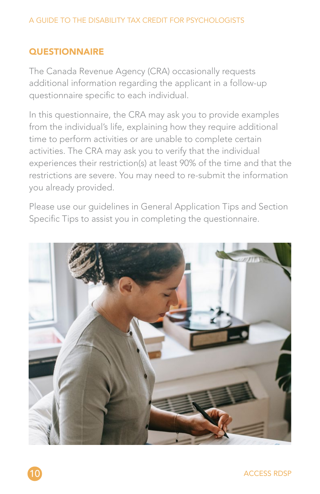## **QUESTIONNAIRE**

The Canada Revenue Agency (CRA) occasionally requests additional information regarding the applicant in a follow-up questionnaire specific to each individual.

In this questionnaire, the CRA may ask you to provide examples from the individual's life, explaining how they require additional time to perform activities or are unable to complete certain activities. The CRA may ask you to verify that the individual experiences their restriction(s) at least 90% of the time and that the restrictions are severe. You may need to re-submit the information you already provided.

Please use our guidelines in General Application Tips and Section Specific Tips to assist you in completing the questionnaire.



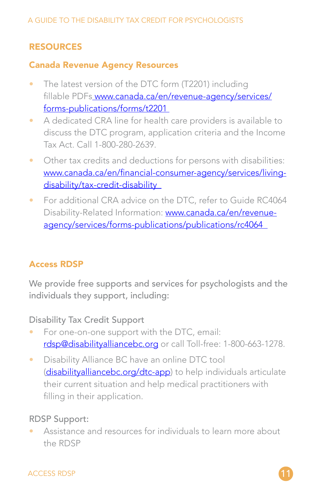## RESOURCES

#### Canada Revenue Agency Resources

- The latest version of the DTC form (T2201) including fillable PDF[s www.canada.ca/en/revenue-agency/services/](http:// www.canada.ca/en/revenue-agency/services/forms-publications/forms/t2201 ) [forms-publications/forms/t2201](http:// www.canada.ca/en/revenue-agency/services/forms-publications/forms/t2201 )
- A dedicated CRA line for health care providers is available to discuss the DTC program, application criteria and the Income Tax Act. Call 1-800-280-2639.
- Other tax credits and deductions for persons with disabilities: [www.canada.ca/en/financial-consumer-agency/services/living](http://www.canada.ca/en/financial-consumer-agency/services/living-disability/tax-credit-disability   )disability/tax-credit-disability
- For additional CRA advice on the DTC, refer to Guide RC4064 Disability-Related Information: [www.canada.ca/en/revenue](http://www.canada.ca/en/revenue-agency/services/forms-publications/publications/rc4064  )[agency/services/forms-publications/publications/rc4064](http://www.canada.ca/en/revenue-agency/services/forms-publications/publications/rc4064  )

## Access RDSP

We provide free supports and services for psychologists and the individuals they support, including:

Disability Tax Credit Support

- For one-on-one support with the DTC, email: [rdsp@disabilityalliancebc.org](mailto:rdsp%40disabilityalliancebc.org?subject=) or call Toll-free: 1-800-663-1278.
- Disability Alliance BC have an online DTC tool ([disabilityalliancebc.org/dtc-app](http://disabilityalliancebc.org/dtc-app)) to help individuals articulate their current situation and help medical practitioners with filling in their application.

## RDSP Support:

• Assistance and resources for individuals to learn more about the RDSP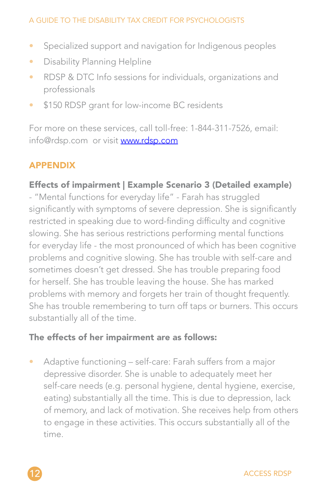- Specialized support and navigation for Indigenous peoples
- Disability Planning Helpline
- RDSP & DTC Info sessions for individuals, organizations and professionals
- \$150 RDSP grant for low-income BC residents

For more on these services, call toll-free: 1-844-311-7526, email: info@rdsp.com or visit [www.rdsp.com](http://www.rdsp.com)

## APPENDIX

#### Effects of impairment | Example Scenario 3 (Detailed example)

- "Mental functions for everyday life" - Farah has struggled significantly with symptoms of severe depression. She is significantly restricted in speaking due to word-finding difficulty and cognitive slowing. She has serious restrictions performing mental functions for everyday life - the most pronounced of which has been cognitive problems and cognitive slowing. She has trouble with self-care and sometimes doesn't get dressed. She has trouble preparing food for herself. She has trouble leaving the house. She has marked problems with memory and forgets her train of thought frequently. She has trouble remembering to turn off taps or burners. This occurs substantially all of the time.

#### The effects of her impairment are as follows:

• Adaptive functioning – self-care: Farah suffers from a major depressive disorder. She is unable to adequately meet her self-care needs (e.g. personal hygiene, dental hygiene, exercise, eating) substantially all the time. This is due to depression, lack of memory, and lack of motivation. She receives help from others to engage in these activities. This occurs substantially all of the time.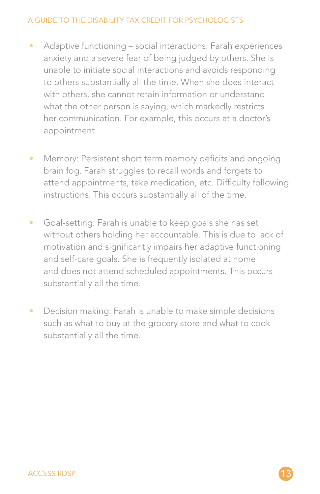- Adaptive functioning social interactions: Farah experiences anxiety and a severe fear of being judged by others. She is unable to initiate social interactions and avoids responding to others substantially all the time. When she does interact with others, she cannot retain information or understand what the other person is saying, which markedly restricts her communication. For example, this occurs at a doctor's appointment.
- Memory: Persistent short term memory deficits and ongoing brain fog. Farah struggles to recall words and forgets to attend appointments, take medication, etc. Difficulty following instructions. This occurs substantially all of the time.
- Goal-setting: Farah is unable to keep goals she has set without others holding her accountable. This is due to lack of motivation and significantly impairs her adaptive functioning and self-care goals. She is frequently isolated at home and does not attend scheduled appointments. This occurs substantially all the time.
- Decision making: Farah is unable to make simple decisions such as what to buy at the grocery store and what to cook substantially all the time.